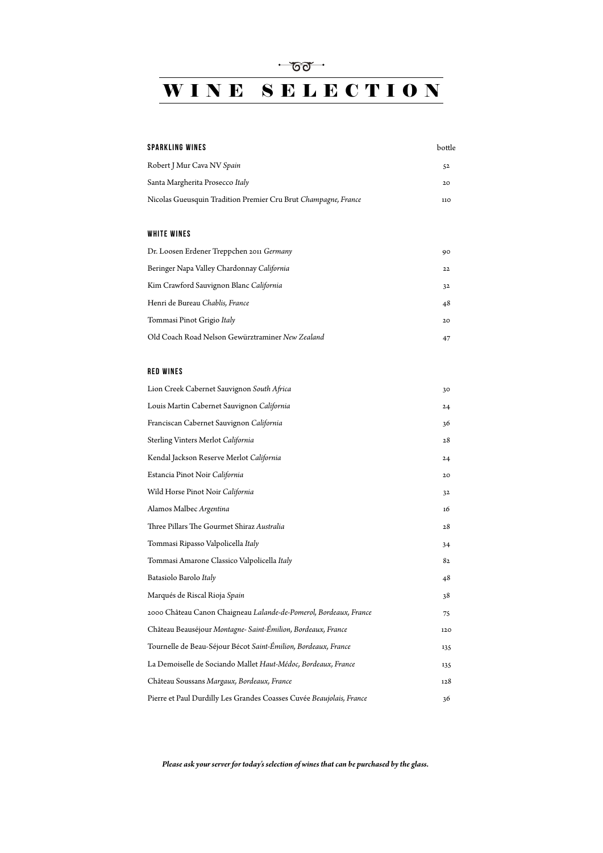# WINE SELECTION

| <b>SPARKLING WINES</b>                                            | bottle |
|-------------------------------------------------------------------|--------|
| Robert J Mur Cava NV Spain                                        | 52     |
| Santa Margherita Prosecco Italy                                   | 20     |
| Nicolas Gueusquin Tradition Premier Cru Brut Champagne, France    | 110    |
|                                                                   |        |
| <b>WHITE WINES</b>                                                |        |
| Dr. Loosen Erdener Treppchen 2011 Germany                         | 90     |
| Beringer Napa Valley Chardonnay California                        | 22     |
| Kim Crawford Sauvignon Blanc California                           | 32     |
| Henri de Bureau Chablis, France                                   | 48     |
| Tommasi Pinot Grigio Italy                                        | 20     |
| Old Coach Road Nelson Gewürztraminer New Zealand                  | 47     |
|                                                                   |        |
| <b>RED WINES</b>                                                  |        |
| Lion Creek Cabernet Sauvignon South Africa                        | 30     |
| Louis Martin Cabernet Sauvignon California                        | 24     |
| Franciscan Cabernet Sauvignon California                          | 36     |
| Sterling Vinters Merlot California                                | 28     |
| Kendal Jackson Reserve Merlot California                          | 24     |
| Estancia Pinot Noir California                                    | 20     |
| Wild Horse Pinot Noir California                                  | 32     |
| Alamos Malbec Argentina                                           | 16     |
| Three Pillars The Gourmet Shiraz Australia                        | 28     |
| Tommasi Ripasso Valpolicella Italy                                | 34     |
| Tommasi Amarone Classico Valpolicella Italy                       | 82     |
| Batasiolo Barolo Italy                                            | 48     |
| Marqués de Riscal Rioja Spain                                     | 38     |
| 2000 Château Canon Chaigneau Lalande-de-Pomerol, Bordeaux, France | 75     |
| Château Beauséjour Montagne-Saint-Émilion, Bordeaux, France       | 120    |
|                                                                   |        |

| Tournelle de Beau-Séjour Bécot Saint-Émilion, Bordeaux, France       | 135 |
|----------------------------------------------------------------------|-----|
| La Demoiselle de Sociando Mallet Haut-Médoc, Bordeaux, France        | 135 |
| Château Soussans Margaux, Bordeaux, France                           | 128 |
| Pierre et Paul Durdilly Les Grandes Coasses Cuvée Beaujolais, France | 36  |

*Please ask your server for today's selection of wines that can be purchased by the glass.*